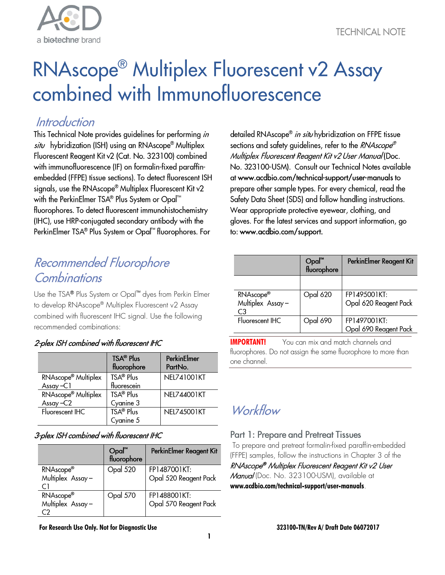

# RNAscope<sup>®</sup> Multiplex Fluorescent v2 Assay combined with Immunofluorescence

### Introduction

This Technical Note provides guidelines for performing in situ hybridization (ISH) using an RNAscope® Multiplex Fluorescent Reagent Kit v2 (Cat. No. 323100) combined with immunofluorescence (IF) on formalin-fixed paraffinembedded (FFPE) tissue sections). To detect fluorescent ISH signals, use the RNAscope® Multiplex Fluorescent Kit v2 with the PerkinElmer TSA® Plus System or Opal™ fluorophores. To detect fluorescent immunohistochemistry (IHC), use HRP-conjugated secondary antibody with the PerkinElmer TSA® Plus System or Opal™ fluorophores. For

### Recommended Fluorophore Combinations

Use the TSA® Plus System or Opal™ dyes from Perkin Elmer to develop RNAscope® Multiplex Fluorescent v2 Assay combined with fluorescent IHC signal. Use the following recommended combinations:

#### 2-plex ISH combined with fluorescent IHC

|                                 | <b>TSA® Plus</b><br>fluorophore | PerkinElmer<br>PartNo. |
|---------------------------------|---------------------------------|------------------------|
| RNAscope <sup>®</sup> Multiplex | TSA <sup>®</sup> Plus           | NF1741001KT            |
| $Assay - C1$                    | fluorescein                     |                        |
| RNAscope <sup>®</sup> Multiplex | TSA <sup>®</sup> Plus           | <b>NEL744001KT</b>     |
| Assay-C2                        | Cyanine 3                       |                        |
| Fluorescent IHC                 | TSA® Plus                       | <b>NEL745001KT</b>     |
|                                 | Cyanine 5                       |                        |

#### 3-plex ISH combined with fluorescent IHC

|                               | $Opal^m$<br>fluorophore | PerkinElmer Reagent Kit               |
|-------------------------------|-------------------------|---------------------------------------|
| RNAscope®<br>Multiplex Assay- | Opal 520                | FP1487001KT:<br>Opal 520 Reagent Pack |
| RNAscope®<br>Multiplex Assay- | Opal 570                | FP1488001KT:<br>Opal 570 Reagent Pack |

**For Research Use Only. Not for Diagnostic Use 323100-TN/Rev A/ Draft Date 06072017**

detailed RNAscope<sup>®</sup> in situ hybridization on FFPE tissue sections and safety quidelines, refer to the RNAscope® Multiplex Fluorescent Reagent Kit v2 User Manual (Doc. No. 323100-USM). Consult our Technical Notes available at www.acdbio.com/technical-support/user-manuals to prepare other sample types. For every chemical, read the Safety Data Sheet (SDS) and follow handling instructions. Wear appropriate protective eyewear, clothing, and gloves. For the latest services and support information, go to: www.acdbio.com/support.

|                                                 | Opal™<br>fluorophore | PerkinElmer Reagent Kit               |
|-------------------------------------------------|----------------------|---------------------------------------|
|                                                 |                      |                                       |
| RNAscope <sup>®</sup><br>Multiplex Assay-<br>C3 | Opal 620             | FP1495001KT:<br>Opal 620 Reagent Pack |
| Fluorescent IHC                                 | Opal 690             | FP1497001KT:<br>Opal 690 Reagent Pack |

**IMPORTANT!** You can mix and match channels and fluorophores. Do not assign the same fluorophore to more than one channel.

## Workflow

#### **Part 1: Prepare and Pretreat Tissues**

To prepare and pretreat formalin-fixed paraffin-embedded (FFPE) samples, follow the instructions in Chapter 3 of the RNAscope ® Multiplex Fluorescent Reagent Kit v2 User Manual (Doc. No. 323100-USM), available at **[www.acdbio.com/technical-support/user-manuals](http://acdbio.com/technical-support/user-manuals)**.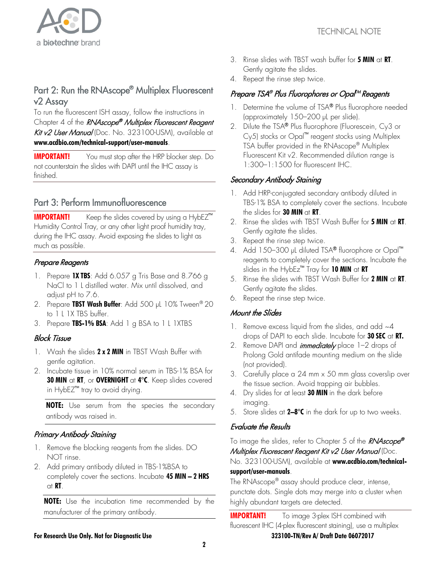

### Part 2: Run the RNAscope® Multiplex Fluorescent v2 Assay

To run the fluorescent ISH assay, follow the instructions in Chapter 4 of the RNAscope® Multiplex Fluorescent Reagent Kit v2 User Manual (Doc. No. 323100-USM), available at **[www.acdbio.com/technical-support/user-manuals](http://acdbio.com/technical-support/user-manuals)**.

**IMPORTANT!** You must stop after the HRP blocker step. Do not counterstain the slides with DAPI until the IHC assay is finished.

#### Part 3: Perform Immunofluorescence

**IMPORTANT!** Keep the slides covered by using a HybEZ<sup>™</sup> Humidity Control Tray, or any other light proof humidity tray, during the IHC assay. Avoid exposing the slides to light as much as possible.

#### Prepare Reagents

- 1. Prepare **1X TBS**: Add 6.057 g Tris Base and 8.766 g NaCl to 1 L distilled water. Mix until dissolved, and adjust pH to 7.6.
- 2. Prepare **TBST Wash Buffer**: Add 500 µL 10% Tween® 20 to 1 L 1X TBS buffer.
- 3. Prepare **TBS-1% BSA**: Add 1 g BSA to 1 L 1XTBS

#### **Block Tissue**

- 1. Wash the slides **2 x 2 MIN** in TBST Wash Buffer with gentle agitation.
- 2. Incubate tissue in 10% normal serum in TBS-1% BSA for **30 MIN** at **RT**, or **OVERNIGHT** at **4°C**. Keep slides covered in HybE $Z^{\mathsf{m}}$  tray to avoid drying.

**NOTE:** Use serum from the species the secondary antibody was raised in.

#### Primary Antibody Staining

- 1. Remove the blocking reagents from the slides. DO NOT rinse.
- 2. Add primary antibody diluted in TBS-1%BSA to completely cover the sections. Incubate **45 MIN – 2 HRS** at **RT**.

**NOTE:** Use the incubation time recommended by the manufacturer of the primary antibody.

- 3. Rinse slides with TBST wash buffer for **5 MIN** at **RT**. Gently agitate the slides.
- 4. Repeat the rinse step twice.

#### Prepare TSA® Plus Fluorophores or Opal<sup>M</sup> Reagents

- 1. Determine the volume of TSA® Plus fluorophore needed (approximately 150–200 µL per slide).
- 2. Dilute the TSA® Plus fluorophore (Fluorescein, Cy3 or  $Cy5$ ) stocks or  $Opal<sup>rm</sup>$  reagent stocks using Multiplex TSA buffer provided in the RNAscope® Multiplex Fluorescent Kit v2. Recommended dilution range is 1:300–1:1500 for fluorescent IHC.

#### Secondary Antibody Staining

- 1. Add HRP-conjugated secondary antibody diluted in TBS-1% BSA to completely cover the sections. Incubate the slides for **30 MIN** at **RT**.
- 2. Rinse the slides with TBST Wash Buffer for **5 MIN** at **RT**. Gently agitate the slides.
- 3. Repeat the rinse step twice.
- 4. Add 150–300 µL diluted TSA® fluorophore or Opal™ reagents to completely cover the sections. Incubate the slides in the HybEz<sup>™</sup> Tray for 10 MIN at RT
- 5. Rinse the slides with TBST Wash Buffer for **2 MIN** at **RT**. Gently agitate the slides.
- 6. Repeat the rinse step twice.

#### Mount the Slides

- 1. Remove excess liquid from the slides, and add  $~4$ drops of DAPI to each slide. Incubate for **30 SEC** at **RT.**
- 2. Remove DAPI and *immediately* place 1-2 drops of Prolong Gold antifade mounting medium on the slide (not provided).
- 3. Carefully place a 24 mm x 50 mm glass coverslip over the tissue section. Avoid trapping air bubbles.
- 4. Dry slides for at least **30 MIN** in the dark before imaging.
- 5. Store slides at **2–8°C** in the dark for up to two weeks.

#### **Evaluate the Results**

To image the slides, refer to Chapter 5 of the *RNAscope®* Multiplex Fluorescent Reagent Kit v2 User Manual (Doc. No. 323100-USM), available at **[www.acdbio.com/technical](http://acdbio.com/technical-support/user-manuals)[support/user-manuals](http://acdbio.com/technical-support/user-manuals)**.

The RNAscope® assay should produce clear, intense, punctate dots. Single dots may merge into a cluster when highly abundant targets are detected.

**For Research Use Only. Not for Diagnostic Use 323100-TN/Rev A/ Draft Date 06072017 IMPORTANT!** To image 3-plex ISH combined with fluorescent IHC (4-plex fluorescent staining), use a multiplex